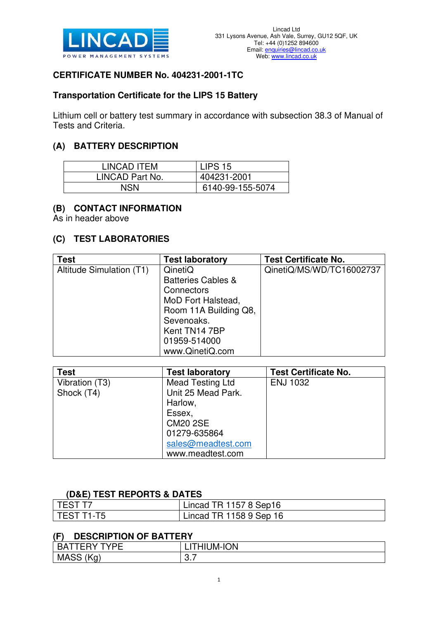

## **CERTIFICATE NUMBER No. 404231-2001-1TC**

## **Transportation Certificate for the LIPS 15 Battery**

Lithium cell or battery test summary in accordance with subsection 38.3 of Manual of Tests and Criteria.

# **(A) BATTERY DESCRIPTION**

| LINCAD ITEM     | LIPS <sub>15</sub> |
|-----------------|--------------------|
| LINCAD Part No. | 404231-2001        |
| NSN             | 6140-99-155-5074   |

#### **(B) CONTACT INFORMATION**

As in header above

#### **(C) TEST LABORATORIES**

| <b>Test</b>              | <b>Test laboratory</b>        | <b>Test Certificate No.</b> |
|--------------------------|-------------------------------|-----------------------------|
| Altitude Simulation (T1) | QinetiQ                       | QinetiQ/MS/WD/TC16002737    |
|                          | <b>Batteries Cables &amp;</b> |                             |
|                          | Connectors                    |                             |
|                          | MoD Fort Halstead,            |                             |
|                          | Room 11A Building Q8,         |                             |
|                          | Sevenoaks.                    |                             |
|                          | Kent TN14 7BP                 |                             |
|                          | 01959-514000                  |                             |
|                          | www.QinetiQ.com               |                             |

| <b>Test</b>    | <b>Test laboratory</b>  | <b>Test Certificate No.</b> |
|----------------|-------------------------|-----------------------------|
| Vibration (T3) | <b>Mead Testing Ltd</b> | <b>ENJ 1032</b>             |
| Shock (T4)     | Unit 25 Mead Park.      |                             |
|                | Harlow,                 |                             |
|                | Essex,                  |                             |
|                | <b>CM20 2SE</b>         |                             |
|                | 01279-635864            |                             |
|                | sales@meadtest.com      |                             |
|                | www.meadtest.com        |                             |

## **(D&E) TEST REPORTS & DATES**

| <b>TEST T7</b> | Lincad TR 1157 8 Sep16  |
|----------------|-------------------------|
| l TEST T1-T5   | Lincad TR 1158 9 Sep 16 |

## **(F) DESCRIPTION OF BATTERY**

| . .                               |                         |
|-----------------------------------|-------------------------|
| $\blacksquare$<br>TVDE<br>--      | <b>MOI-MUIF</b><br>HIL. |
| $\frac{1}{2}$<br><b>MASS</b><br>ີ | ◡.╷                     |